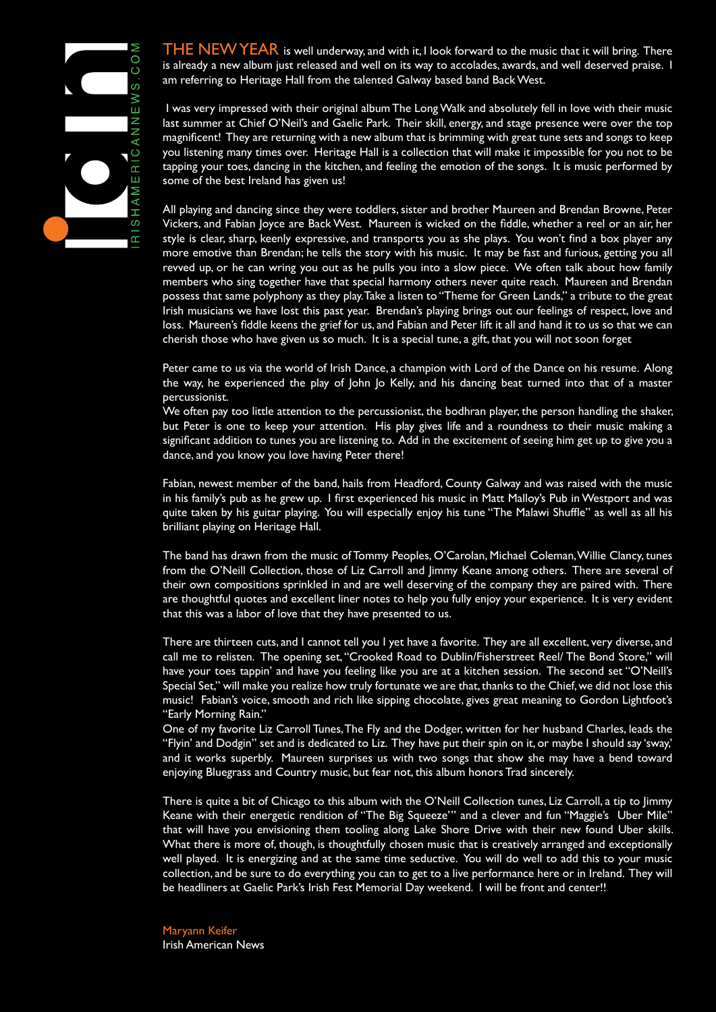

THE NEW YEAR is well underway, and with it, I look forward to the music that it will bring. There is already a new album just released and well on its way to accolades, awards, and well deserved praise. I am referring to Heritage Hall from the talented Galway based band Back West.

 I was very impressed with their original album The Long Walk and absolutely fell in love with their music last summer at Chief O'Neil's and Gaelic Park. Their skill, energy, and stage presence were over the top magnificent! They are returning with a new album that is brimming with great tune sets and songs to keep you listening many times over. Heritage Hall is a collection that will make it impossible for you not to be tapping your toes, dancing in the kitchen, and feeling the emotion of the songs. It is music performed by some of the best Ireland has given us!

All playing and dancing since they were toddlers, sister and brother Maureen and Brendan Browne, Peter Vickers, and Fabian Joyce are Back West. Maureen is wicked on the fiddle, whether a reel or an air, her style is clear, sharp, keenly expressive, and transports you as she plays. You won't find a box player any more emotive than Brendan; he tells the story with his music. It may be fast and furious, getting you all revved up, or he can wring you out as he pulls you into a slow piece. We often talk about how family members who sing together have that special harmony others never quite reach. Maureen and Brendan possess that same polyphony as they play. Take a listen to "Theme for Green Lands," a tribute to the great Irish musicians we have lost this past year. Brendan's playing brings out our feelings of respect, love and loss. Maureen's fiddle keens the grief for us, and Fabian and Peter lift it all and hand it to us so that we can cherish those who have given us so much. It is a special tune, a gift, that you will not soon forget

Peter came to us via the world of Irish Dance, a champion with Lord of the Dance on his resume. Along the way, he experienced the play of John Jo Kelly, and his dancing beat turned into that of a master percussionist.

We often pay too little attention to the percussionist, the bodhran player, the person handling the shaker, but Peter is one to keep your attention. His play gives life and a roundness to their music making a significant addition to tunes you are listening to. Add in the excitement of seeing him get up to give you a dance, and you know you love having Peter there!

Fabian, newest member of the band, hails from Headford, County Galway and was raised with the music in his family's pub as he grew up. I first experienced his music in Matt Malloy's Pub in Westport and was quite taken by his guitar playing. You will especially enjoy his tune "The Malawi Shuffle" as well as all his brilliant playing on Heritage Hall.

The band has drawn from the music of Tommy Peoples, O'Carolan, Michael Coleman, Willie Clancy, tunes from the O'Neill Collection, those of Liz Carroll and Jimmy Keane among others. There are several of their own compositions sprinkled in and are well deserving of the company they are paired with. There are thoughtful quotes and excellent liner notes to help you fully enjoy your experience. It is very evident that this was a labor of love that they have presented to us.

There are thirteen cuts, and I cannot tell you I yet have a favorite. They are all excellent, very diverse, and call me to relisten. The opening set, "Crooked Road to Dublin/Fisherstreet Reel/ The Bond Store," will have your toes tappin' and have you feeling like you are at a kitchen session. The second set "O'Neill's Special Set," will make you realize how truly fortunate we are that, thanks to the Chief, we did not lose this music! Fabian's voice, smooth and rich like sipping chocolate, gives great meaning to Gordon Lightfoot's "Early Morning Rain."

One of my favorite Liz Carroll Tunes, The Fly and the Dodger, written for her husband Charles, leads the "Flyin' and Dodgin" set and is dedicated to Liz. They have put their spin on it, or maybe I should say 'sway,' and it works superbly. Maureen surprises us with two songs that show she may have a bend toward enjoying Bluegrass and Country music, but fear not, this album honors Trad sincerely.

There is quite a bit of Chicago to this album with the O'Neill Collection tunes, Liz Carroll, a tip to Jimmy Keane with their energetic rendition of "The Big Squeeze'" and a clever and fun "Maggie's Uber Mile" that will have you envisioning them tooling along Lake Shore Drive with their new found Uber skills. What there is more of, though, is thoughtfully chosen music that is creatively arranged and exceptionally well played. It is energizing and at the same time seductive. You will do well to add this to your music collection, and be sure to do everything you can to get to a live performance here or in Ireland. They will be headliners at Gaelic Park's Irish Fest Memorial Day weekend. I will be front and center!!

Maryann Keifer Irish American News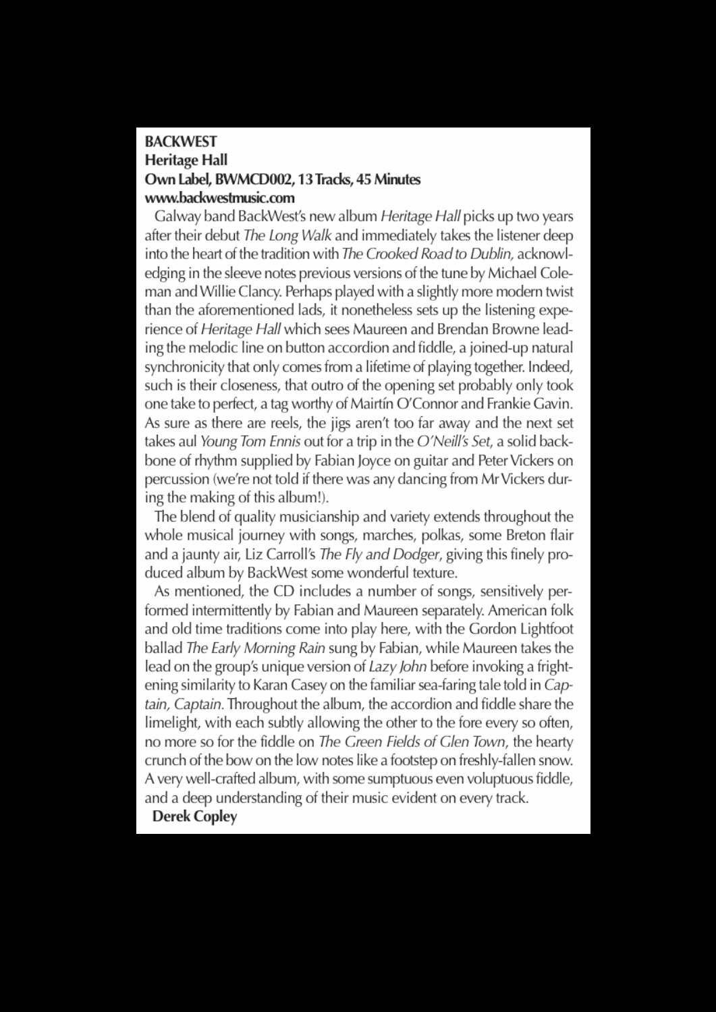## **BACKWEST Heritage Hall** Own Label. BWMCD002. 13 Tracks. 45 Minutes www.backwestmusic.com

Galway band BackWest's new album Heritage Hall picks up two years after their debut The Long Walk and immediately takes the listener deep into the heart of the tradition with The Crooked Road to Dublin, acknowledging in the sleeve notes previous versions of the tune by Michael Coleman and Willie Clancy. Perhaps played with a slightly more modern twist than the aforementioned lads, it nonetheless sets up the listening experience of Heritage Hall which sees Maureen and Brendan Browne leading the melodic line on button accordion and fiddle, a joined-up natural synchronicity that only comes from a lifetime of playing together. Indeed, such is their closeness, that outro of the opening set probably only took one take to perfect, a tag worthy of Mairtín O'Connor and Frankie Gavin. As sure as there are reels, the jigs aren't too far away and the next set takes aul Young Tom Ennis out for a trip in the O'Neill's Set, a solid backbone of rhythm supplied by Fabian Joyce on guitar and Peter Vickers on percussion (we're not told if there was any dancing from Mr Vickers during the making of this album!).

The blend of quality musicianship and variety extends throughout the whole musical journey with songs, marches, polkas, some Breton flair and a jaunty air, Liz Carroll's The Fly and Dodger, giving this finely produced album by BackWest some wonderful texture.

As mentioned, the CD includes a number of songs, sensitively performed intermittently by Fabian and Maureen separately. American folk and old time traditions come into play here, with the Gordon Lightfoot ballad The Early Morning Rain sung by Fabian, while Maureen takes the lead on the group's unique version of *Lazy John* before invoking a frightening similarity to Karan Casey on the familiar sea-faring tale told in Captain. Captain. Throughout the album, the accordion and fiddle share the limelight, with each subtly allowing the other to the fore every so often, no more so for the fiddle on The Green Fields of Glen Town, the hearty crunch of the bow on the low notes like a footstep on freshly-fallen snow. A very well-crafted album, with some sumptuous even voluptuous fiddle, and a deep understanding of their music evident on every track.

**Derek Copley**